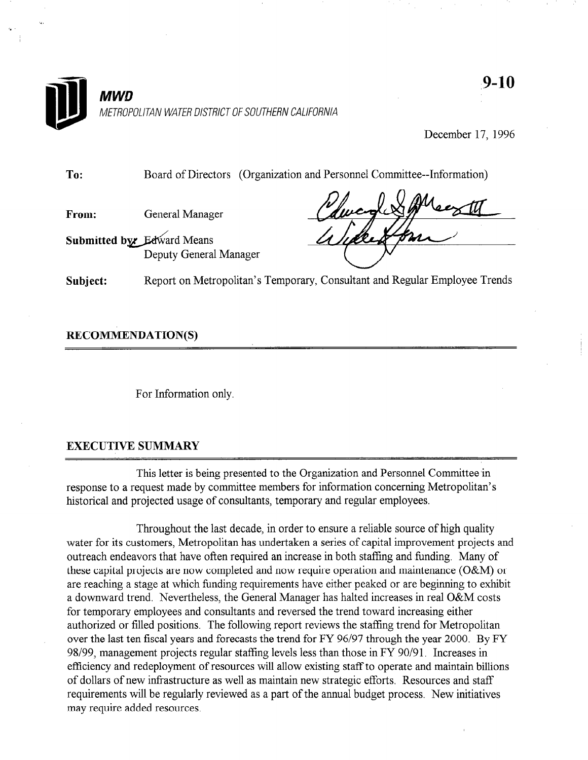

December 17, 1996

To: Board of Directors (Organization and Personnel Committee--Information)

From: General Manager

Submitted by Edward Means Deputy General Manager

Subject: Report on Metropolitan's Temporary, Consultant and Regular Employee Trends

RECOMMENDATION(S)

For Information only.

# EXECUTIVE SUMMARY

This letter is being presented to the Organization and Personnel Committee'in response to a request made by committee members for information concerning Metropolitan's historical and projected usage of consultants, temporary and regular employees.

Throughout the last decade, in order to ensure a reliable source of high quality water for its customers, Metropolitan has undertaken a series of capital improvement projects and outreach endeavors that have often required an increase in both staffing and funding. Many of these capital projects are now completed and now require operation and maintenance (O&M) or are reaching a stage at which funding requirements have either peaked or are beginning to exhibit a downward trend. Nevertheless, the General Manager has halted increases in real O&M costs for temporary employees and consultants and reversed the trend toward increasing either authorized or filled positions. The following report reviews the staffing trend for Metropolitan over the last ten fiscal years and forecasts the trend for FY 96/97 through the year 2000. By FY 98/99, management projects regular staffing levels less than those in FY 90/91. Increases in efficiency and redeployment of resources will allow existing staff to operate and maintain billions of dollars of new infrastructure as well as maintain new strategic efforts, Resources and staff requirements will be regularly reviewed as a part of the annual budget process. New initiatives may require added resources.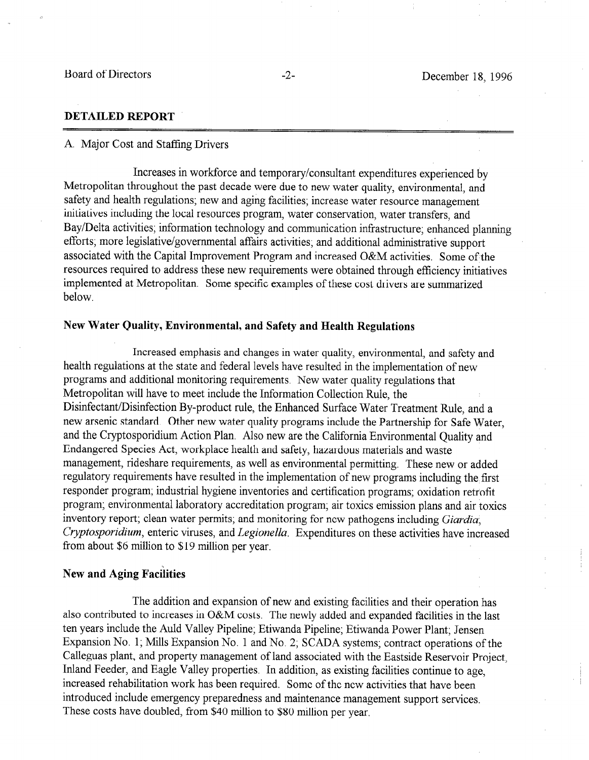## DETAILED REPORT

#### A. Major Cost and Staffing Drivers

Increases in workforce and temporary/consultant expenditures experienced by Metropolitan throughout the past decade were due to new water quality, environmental, and safety and health regulations; new and aging facilities; increase water resource management initiatives including the local resources program, water conservation, water transfers, and Bay/Delta activities; information technology and communication infrastructure; enhanced planning efforts; more legislative/governmental affairs activities; and additional administrative support associated with the Capital Improvement Program and increased O&M activities. Some of the resources required to address these new requirements were obtained through efficiency initiatives implemented at Metropolitan. Some specific examples of these cost drivers are summarized below.

### New Water Quality, Environmental, and Safety and Health Regulations

Increased emphasis and changes in water quality, environmental, and safety and health regulations at the state and federal levels have resulted in the implementation of new programs and additional monitoring requirements. New water quality regulations that Metropolitan will have to meet include the Information Collection Rule, the Disinfectant/Disinfection By-product rule, the Enhanced Surface Water Treatment Rule, and a new arsenic standard. Other new water quality programs include the Partnership for Safe Water, and the Cryptosporidium Action Plan. Also new are the California Environmental Quality and Endangered Species Act, workplace health and safety, hazardous materials and waste management, rideshare requirements, as well as environmental permitting. These new or added regulatory requirements have resulted in the implementation of new programs including the first responder program; industrial hygiene inventories and certification programs; oxidation retrofit program; environmental laboratory accreditation program; air toxics emission plans and air toxics inventory report; clean water permits; and monitoring for new pathogens including Giardia, Cryptosporidium, enteric viruses, and Legionella. Expenditures on these activities have increased from about \$6 million to \$19 million per year.

# New and Aging Facilities

The addition and expansion of new and existing facilities and their operation has also contributed to increases in O&M costs. The newly added and expanded facilities in the last ten years include the Auld Valley Pipeline; Etiwanda Pipeline; Etiwanda Power Plant; Jensen Expansion No. 1; Mills Expansion No. 1 and No. 2; SCADA systems; contract operations of the Calleguas plant, and property management of land associated with the Eastside Reservoir Project, Inland Feeder, and Eagle Valley properties. In addition, as existing facilities continue to age, increased rehabilitation work has been required. Some of the new activities that have been introduced include emergency preparedness and maintenance management support services. These costs have doubled, from \$40 million to \$80 million per year,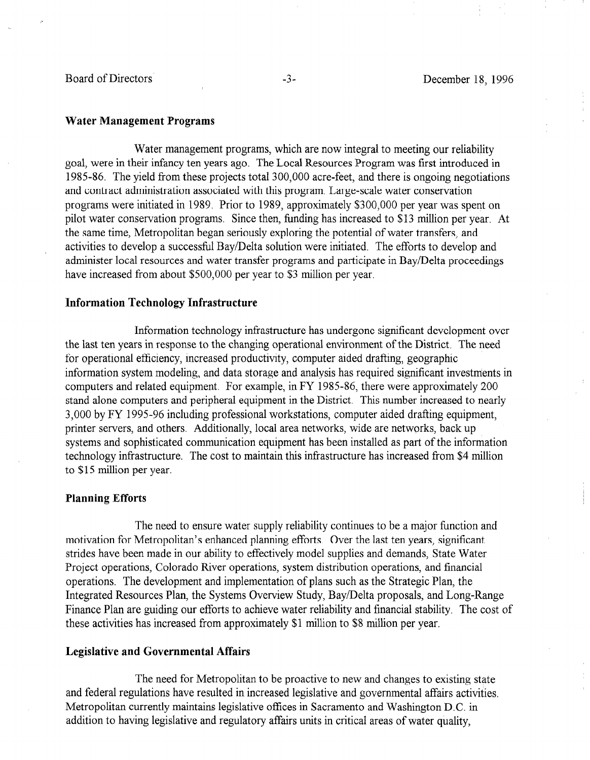#### Water Management Programs

Water management programs, which are now integral to meeting our reliability goal, were in their infancy ten years ago. The Local Resources Program was first introduced in 1985-86. The yield from these projects total 300,000 acre-feet, and there is ongoing negotiations and contract administration associated with this program. Large-scale water conservation programs were initiated in 1989. Prior to 1989, approximately \$300,000 per year was spent on pilot water conservation programs. Since then, funding has increased to \$13 million per year. At the same time, Metropolitan began seriously exploring the potential of water transfers, and activities to develop a successful Bay/Delta solution were initiated. The efforts to develop and administer local resources and water transfer programs and participate in Bay/Delta proceedings have increased from about \$500,000 per year to \$3 million per year.

#### Information Technology Infrastructure

Information technology infrastructure has undergone significant development over the last ten years in response to the changing operational environment of the District, The need for operational efficiency, increased productivity, computer aided drafting, geographic information system modeling, and data storage and analysis has required significant investments in computers and related equipment. For example, in FY 1985-86, there were approximately 200 computers and related equipment. This example, in the District of the Welt approximately 200 stand afone computers and performan equipment in the District. This number increased to hear 3,000 by FY 1995-96 including professional workstations, computer aided drafting equipment, printer servers, and others. Additionally, local area networks, wide are networks, back up systems and sophisticated communication equipment has been installed as part of the information technology infrastructure. The cost to maintain this infrastructure has increased from \$4 million to \$15 million per year.

#### Planning Efforts

The need to ensure water supply reliability continues to be a major function and motivation for Metropolitan's enhanced planning efforts. Over the last ten vears, significant strides have been made in our ability to effectively model supplies and demands, State Water Project operations. Colorado River operations, system distribution operations, and financial operations. The development and implementation of plans such as the Strategic Plan, the Integrated Resources Plan, the Systems Overview Study, Bay/Delta proposals, and Long-Range Finance Plan are guiding our efforts to achieve water reliability and financial stability. The cost of these activities has increased from approximately \$1 million to \$8 million per year.

#### **Legislative and Governmental Affairs**

The need for Metropolitan to be proactive to new and changes to existing state and federal regulations have resulted in increased legislative and governmental affairs activities. Metropolitan currently maintains legislative offices in Sacramento and Washington D.C. in addition to having legislative and regulatory affairs units in critical areas of water quality,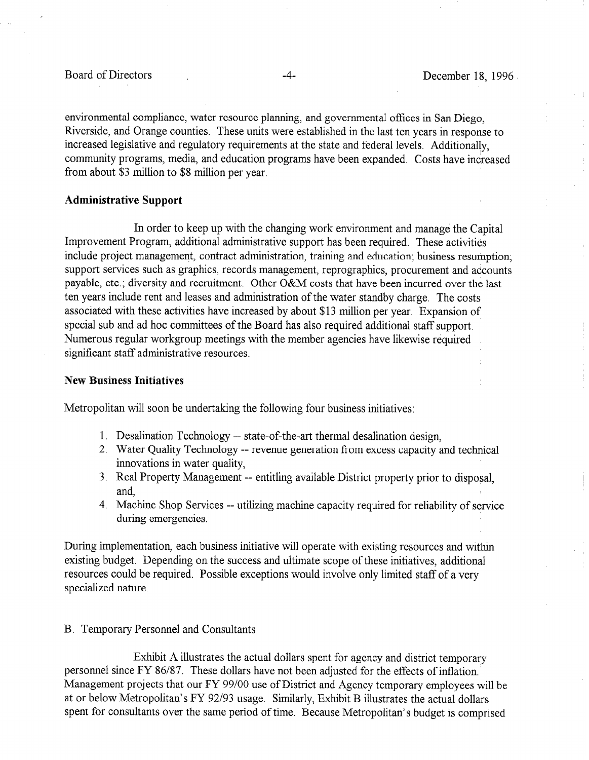environmental compliance, water resource planning, and governmental offices in San Diego, Riverside, and Orange counties. These units were established in the last ten years in response to increased legislative and regulatory requirements at the state and federal levels. Additionally, community programs, media, and education programs have been expanded. Costs have increased from about \$3 million to \$8 million per year.

#### Administrative Support

In order to keep up with the changing work environment and manage the Capital Improvement Program, additional administrative support has been required. These activities include project management, contract administration, training and education; business resumption; support services such as graphics, records management, reprographics, procurement and accounts payable, etc.; diversity and recruitment. Other O&M costs that have been incurred over the last ten years include rent and leases and administration of the water standby charge. The costs associated with these activities have increased by about \$13 million per year. Expansion of special sub and ad hoc committees of the Board has also required additional staff support. Numerous regular Workgroup meetings with the member agencies have likewise required significant staff administrative resources.

### New Business Initiatives

Metropolitan will soon be undertaking the following four business initiatives:

- 1. Desalination Technology -- state-of-the-art thermal desalination design,
- 2. Water Quality Technology -- revenue generation from excess capacity and technical innovations in water quality,
- 3. Real Property Management -- entitling available District property prior to disposal, and,
- 4. Machine Shop Services -- utilizing machine capacity required for reliability of service during emergencies.

During implementation, each business initiative will operate with existing resources and within existing budget. Depending on the success and ultimate scope of these initiatives, additional resources could be required. Possible exceptions would involve only limited staff of a very specialized nature.

# B. Temporary Personnel and Consultants

Exhibit A illustrates the actual dollars spent for agency and district temporary personnel since FY 86/87. These dollars have not been adjusted for the effects of inflation. Management projects that our FY 99/00 use of District and Agency temporary employees will be at or below Metropolitan's FY 92/93 usage. Similarly, Exhibit B illustrates the actual dollars spent for consultants over the same period of time. Because Metropolitan's budget is comprised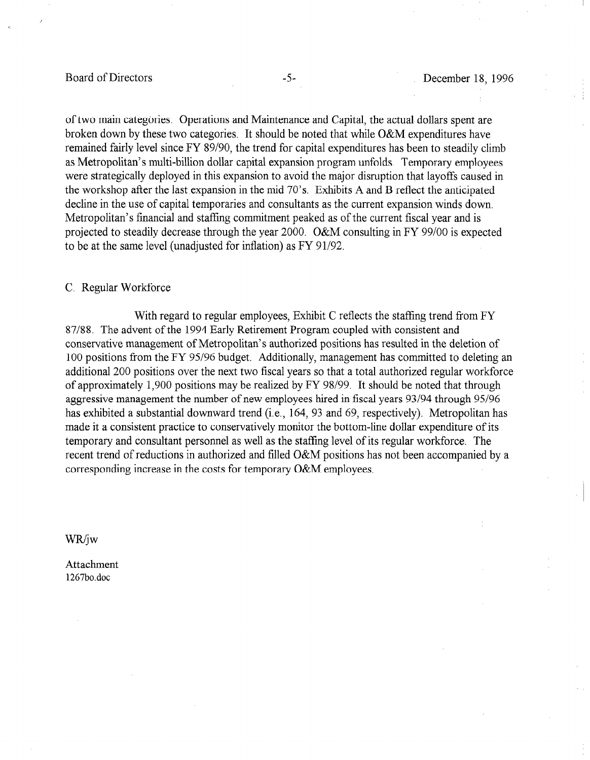# Board of Directors -5-<br>
-5-<br>
December 18, 1996

of two main categories: Operations and Maintenance and Capital, the actual dollars spent are broken down by these two categories. It should be noted that while O&M expenditures have remained fairly level since FY 89/90, the trend for capital expenditures has been to steadily climb as Metropolitan's multi-billion dollar capital expansion program unfolds, Temporary employees were strategically deployed in this expansion to avoid the major disruption that layoffs caused in the workshop after the last expansion in the mid  $70^{\circ}$ s. Exhibits A and B reflect the anticipated decline in the use of capital temporaries and consultants as the current expansion winds down. Metropolitan's financial and staffing commitment peaked as of the current fiscal year and is projected to steadily decrease through the year 2000. O&M consulting in FY 99/00 is expected to be at the same level (unadjusted for inflation) as FY 91/92.

#### C. Regular Workforce

With regard to regular employees, Exhibit C reflects the staffing trend from FY 87/88. The advent of the 1994 Early Retirement Program coupled with consistent and conservative management of Metropolitan's authorized positions has resulted in the deletion of 100 positions from the FY 95/96 budget. Additionally, management has committed to deleting an additional 200 positions over the next two fiscal years so that a total authorized regular workforce approximately 1,900 positions over the field by Fiscar years so that a total authorized regular working or approximately  $1,500$  positions may be realized by  $1,1,50/94$ . It should be noted that through aggressive management the number of new employees hired in fiscal years 93/94 through 95/96 has exhibited a substantial downward trend (i.e., 164, 93 and 69, respectively). Metropolitan has made it a consistent practice to conservatively monitor the bottom-line dollar expenditure of its temporary and consultant personnel as well as the staffing level of its regular workforce. The recent trend of reductions in authorized and filled O&M positions has not been accompanied by a corresponding increase in the costs for temporary O&M employees.

Attachment 1267bo.doc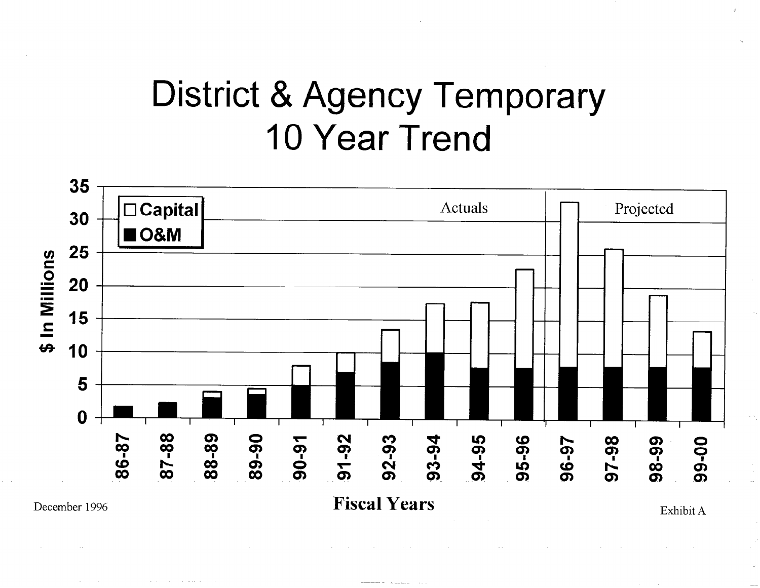# District & Agency Temporary 10 Year Trend

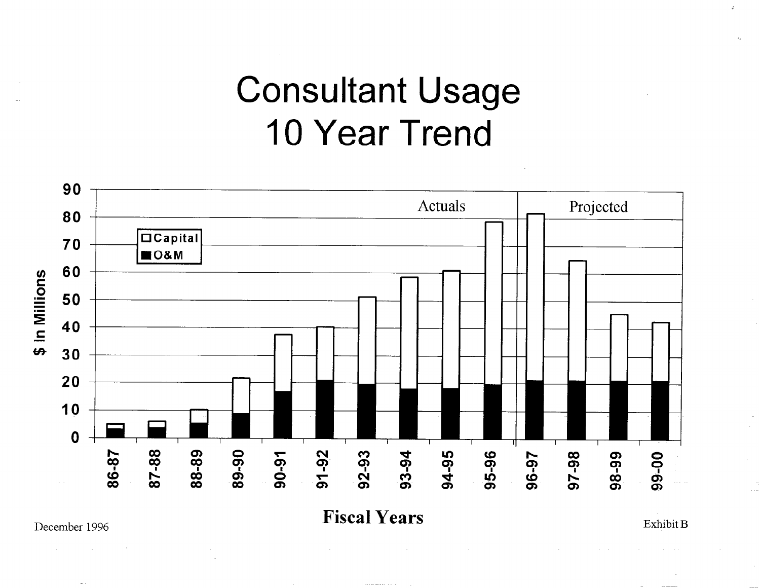# Consultant Usage 10 Year Trend



Exhibit B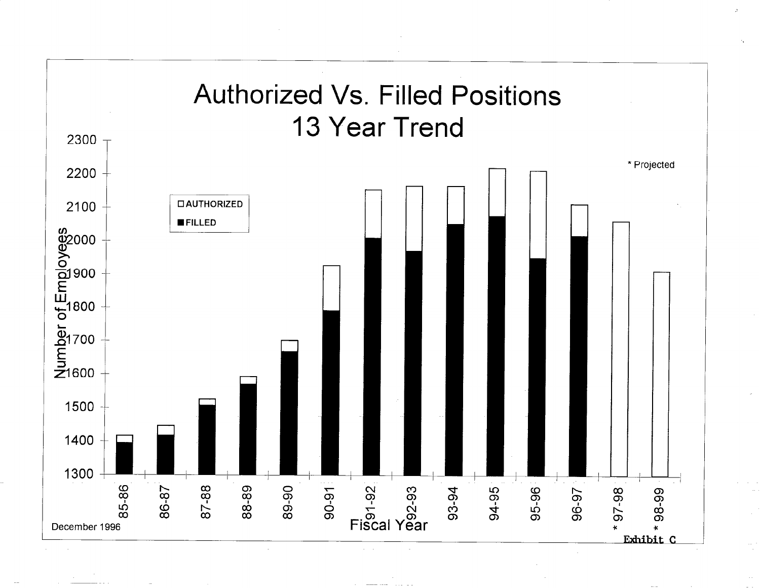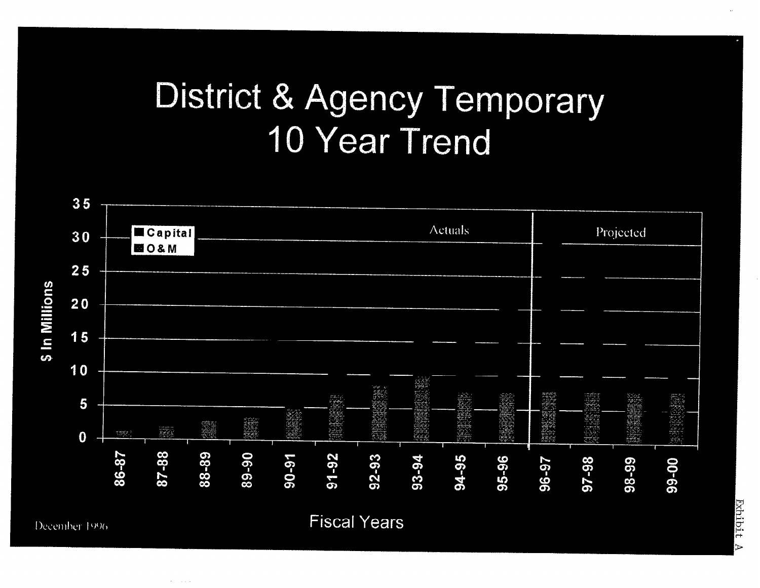# District & Agency Temporary 10 Year Trend



**All Cardinal**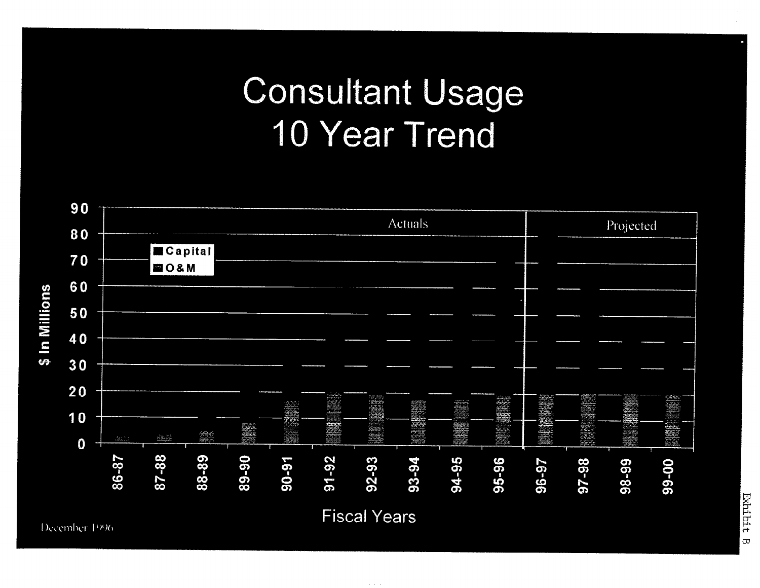# Consultant Usage 10 Year Trend



Exhibit  $\overline{\omega}$